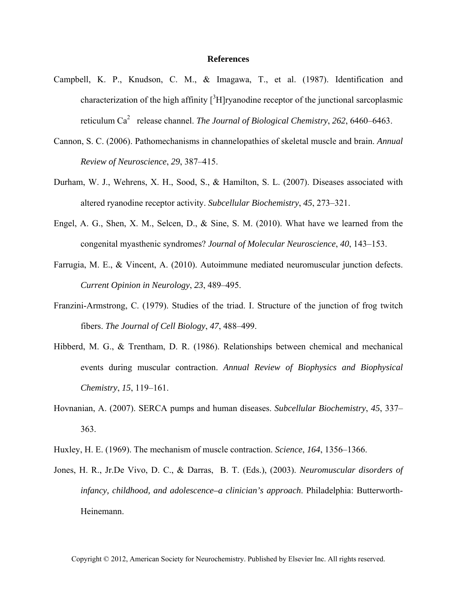## **References**

- Campbell, K. P., Knudson, C. M., & Imagawa, T., et al. (1987). Identification and characterization of the high affinity  $\int^3 H$  ryanodine receptor of the junctional sarcoplasmic reticulum Ca<sup>2</sup> release channel. *The Journal of Biological Chemistry*, 262, 6460–6463.
- Cannon, S. C. (2006). Pathomechanisms in channelopathies of skeletal muscle and brain. *Annual Review of Neuroscience*, *29*, 387–415.
- Durham, W. J., Wehrens, X. H., Sood, S., & Hamilton, S. L. (2007). Diseases associated with altered ryanodine receptor activity. *Subcellular Biochemistry*, *45*, 273–321.
- Engel, A. G., Shen, X. M., Selcen, D., & Sine, S. M. (2010). What have we learned from the congenital myasthenic syndromes? *Journal of Molecular Neuroscience*, *40*, 143–153.
- Farrugia, M. E., & Vincent, A. (2010). Autoimmune mediated neuromuscular junction defects. *Current Opinion in Neurology*, *23*, 489–495.
- Franzini-Armstrong, C. (1979). Studies of the triad. I. Structure of the junction of frog twitch fibers. *The Journal of Cell Biology*, *47*, 488–499.
- Hibberd, M. G., & Trentham, D. R. (1986). Relationships between chemical and mechanical events during muscular contraction. *Annual Review of Biophysics and Biophysical Chemistry*, *15*, 119–161.
- Hovnanian, A. (2007). SERCA pumps and human diseases. *Subcellular Biochemistry*, *45*, 337– 363.
- Huxley, H. E. (1969). The mechanism of muscle contraction. *Science*, *164*, 1356–1366.
- Jones, H. R., Jr.De Vivo, D. C., & Darras, B. T. (Eds.), (2003). *Neuromuscular disorders of infancy, childhood, and adolescence–a clinician's approach*. Philadelphia: Butterworth-Heinemann.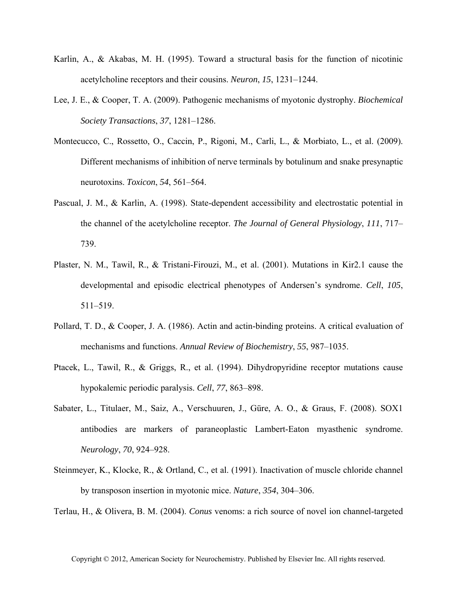- Karlin, A., & Akabas, M. H. (1995). Toward a structural basis for the function of nicotinic acetylcholine receptors and their cousins. *Neuron*, *15*, 1231–1244.
- Lee, J. E., & Cooper, T. A. (2009). Pathogenic mechanisms of myotonic dystrophy. *Biochemical Society Transactions*, *37*, 1281–1286.
- Montecucco, C., Rossetto, O., Caccin, P., Rigoni, M., Carli, L., & Morbiato, L., et al. (2009). Different mechanisms of inhibition of nerve terminals by botulinum and snake presynaptic neurotoxins. *Toxicon*, *54*, 561–564.
- Pascual, J. M., & Karlin, A. (1998). State-dependent accessibility and electrostatic potential in the channel of the acetylcholine receptor. *The Journal of General Physiology*, *111*, 717– 739.
- Plaster, N. M., Tawil, R., & Tristani-Firouzi, M., et al. (2001). Mutations in Kir2.1 cause the developmental and episodic electrical phenotypes of Andersen's syndrome. *Cell*, *105*, 511–519.
- Pollard, T. D., & Cooper, J. A. (1986). Actin and actin-binding proteins. A critical evaluation of mechanisms and functions. *Annual Review of Biochemistry*, *55*, 987–1035.
- Ptacek, L., Tawil, R., & Griggs, R., et al. (1994). Dihydropyridine receptor mutations cause hypokalemic periodic paralysis. *Cell*, *77*, 863–898.
- Sabater, L., Titulaer, M., Saiz, A., Verschuuren, J., Güre, A. O., & Graus, F. (2008). SOX1 antibodies are markers of paraneoplastic Lambert-Eaton myasthenic syndrome. *Neurology*, *70*, 924–928.
- Steinmeyer, K., Klocke, R., & Ortland, C., et al. (1991). Inactivation of muscle chloride channel by transposon insertion in myotonic mice. *Nature*, *354*, 304–306.

Terlau, H., & Olivera, B. M. (2004). *Conus* venoms: a rich source of novel ion channel-targeted